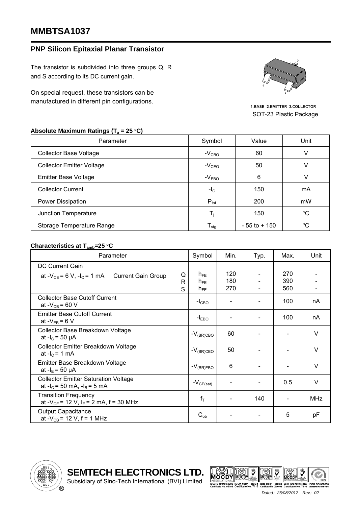## **MMBTSA1037**

## **PNP Silicon Epitaxial Planar Transistor**

The transistor is subdivided into three groups Q, R and S according to its DC current gain.

On special request, these transistors can be manufactured in different pin configurations.



1.BASE 2.EMITTER 3.COLLECTOR SOT-23 Plastic Package

## Absolute Maximum Ratings (T<sub>a</sub> = 25 °C)

| Parameter                        | Value<br>Symbol  |                 | Unit        |  |
|----------------------------------|------------------|-----------------|-------------|--|
| <b>Collector Base Voltage</b>    | $-V_{CBO}$       | 60              | V           |  |
| <b>Collector Emitter Voltage</b> | $-VCEO$          | 50              | V           |  |
| <b>Emitter Base Voltage</b>      | $-VEBO$          | 6               | V           |  |
| <b>Collector Current</b>         | $-IC$            | 150             | mA          |  |
| <b>Power Dissipation</b>         | $P_{\text{tot}}$ | 200             | mW          |  |
| Junction Temperature             | T.               | 150             | $^{\circ}C$ |  |
| Storage Temperature Range        | I <sub>stg</sub> | $-55$ to $+150$ | $^{\circ}C$ |  |

## **Characteristics at T<sub>amb</sub>=25 °C**

| Parameter                                                                              | Symbol               | Min.       | Typ. | Max.       | Unit       |
|----------------------------------------------------------------------------------------|----------------------|------------|------|------------|------------|
| DC Current Gain<br>Q<br>at - $V_{CE}$ = 6 V, -l <sub>C</sub> = 1 mA Current Gain Group | $h_{FE}$             | 120        |      | 270        |            |
| R<br>S                                                                                 | $h_{FE}$<br>$h_{FE}$ | 180<br>270 |      | 390<br>560 |            |
| <b>Collector Base Cutoff Current</b><br>at - $V_{CB}$ = 60 V                           | $-ICBO$              |            |      | 100        | nA         |
| <b>Emitter Base Cutoff Current</b><br>at $-V_{EB} = 6 V$                               | $-IEBO$              |            |      | 100        | nA         |
| Collector Base Breakdown Voltage<br>at $-I_c = 50 \mu A$                               | $-V_{\rm (BR) CBO}$  | 60         |      |            | $\vee$     |
| Collector Emitter Breakdown Voltage<br>at $-IC = 1$ mA                                 | $-V_{(BR)CEO}$       | 50         |      |            | $\vee$     |
| Emitter Base Breakdown Voltage<br>at $-I_E = 50 \mu A$                                 | $-V_{(BR)EBO}$       | 6          |      |            | $\vee$     |
| <b>Collector Emitter Saturation Voltage</b><br>at $-I_c = 50$ mA, $-I_B = 5$ mA        | $-V_{CE(sat)}$       |            |      | 0.5        | V          |
| <b>Transition Frequency</b><br>at - $V_{CE}$ = 12 V, I <sub>E</sub> = 2 mA, f = 30 MHz | $f_T$                |            | 140  |            | <b>MHz</b> |
| <b>Output Capacitance</b><br>at - $V_{CB}$ = 12 V, f = 1 MHz                           | $C_{ob}$             |            |      | 5          | pF         |